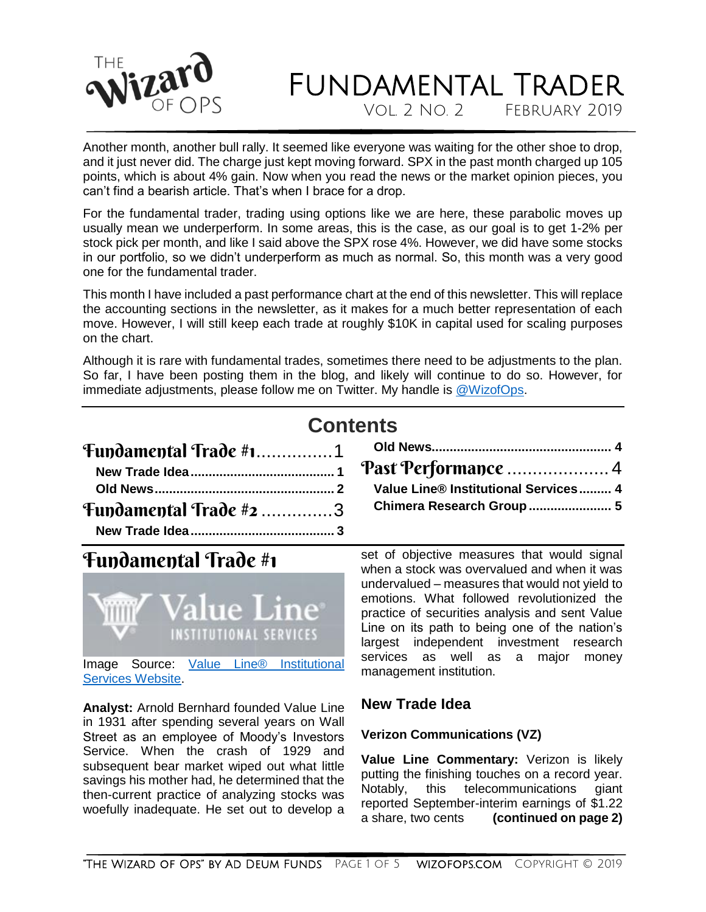

Vol. 2 No. 2 February 2019

Another month, another bull rally. It seemed like everyone was waiting for the other shoe to drop, and it just never did. The charge just kept moving forward. SPX in the past month charged up 105 points, which is about 4% gain. Now when you read the news or the market opinion pieces, you can't find a bearish article. That's when I brace for a drop.

For the fundamental trader, trading using options like we are here, these parabolic moves up usually mean we underperform. In some areas, this is the case, as our goal is to get 1-2% per stock pick per month, and like I said above the SPX rose 4%. However, we did have some stocks in our portfolio, so we didn't underperform as much as normal. So, this month was a very good one for the fundamental trader.

This month I have included a past performance chart at the end of this newsletter. This will replace the accounting sections in the newsletter, as it makes for a much better representation of each move. However, I will still keep each trade at roughly \$10K in capital used for scaling purposes on the chart.

Although it is rare with fundamental trades, sometimes there need to be adjustments to the plan. So far, I have been posting them in the blog, and likely will continue to do so. However, for immediate adjustments, please follow me on Twitter. My handle is [@WizofOps.](https://twitter.com/wizofops)

|                                            | <b>Contents</b> |             |  |  |
|--------------------------------------------|-----------------|-------------|--|--|
|                                            |                 |             |  |  |
|                                            |                 |             |  |  |
|                                            |                 |             |  |  |
| <b>Tundamental Trade <math>#2</math></b> 3 |                 | <b>Chir</b> |  |  |
|                                            |                 |             |  |  |

### <span id="page-0-0"></span>Fundamental Trade #1



Image Source: [Value Line® Institutional](https://www.valuelinepro.com/)  [Services Website.](https://www.valuelinepro.com/)

**Analyst:** Arnold Bernhard founded Value Line in 1931 after spending several years on Wall Street as an employee of Moody's Investors Service. When the crash of 1929 and subsequent bear market wiped out what little savings his mother had, he determined that the then-current practice of analyzing stocks was woefully inadequate. He set out to develop a set of objective measures that would signal when a stock was overvalued and when it was undervalued – measures that would not yield to emotions. What followed revolutionized the practice of securities analysis and sent Value Line on its path to being one of the nation's largest independent investment research services as well as a major money management institution.

**[Old News..................................................](#page-3-0) 4**

[Past Performance](#page-3-1) .................... 4 **[Value Line® Institutional Services.........](#page-3-2) 4 [Chimera Research Group.......................](#page-4-0) 5**

#### <span id="page-0-1"></span>**New Trade Idea**

#### **Verizon Communications (VZ)**

**Value Line Commentary:** Verizon is likely putting the finishing touches on a record year.<br>Notably. this telecommunications giant this telecommunications giant reported September-interim earnings of \$1.22<br>a share, two cents (continued on page 2) (continued on page 2)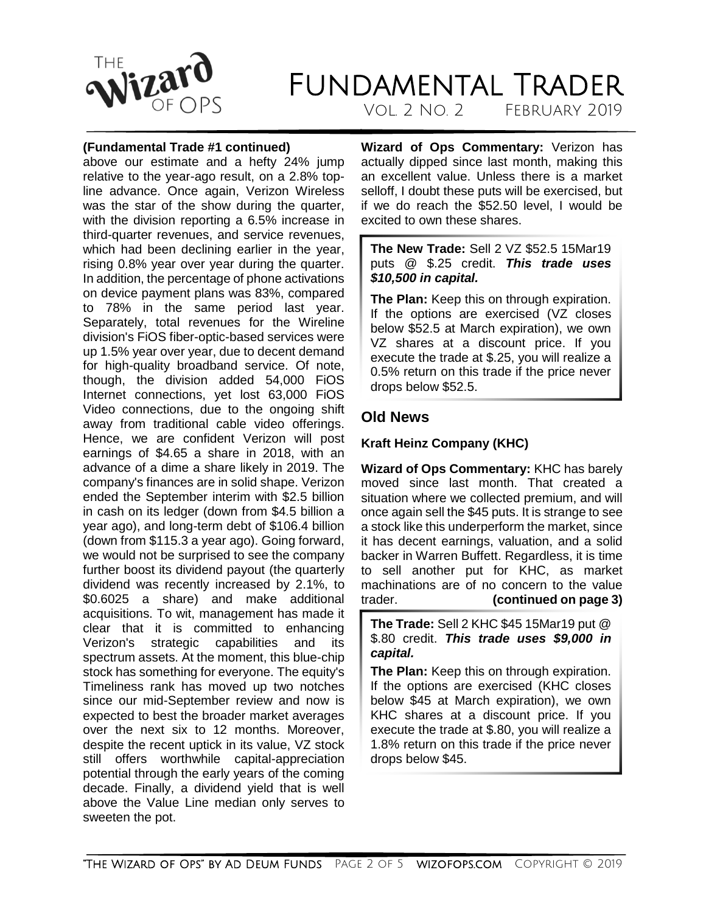

Vol. 2 No. 2 February 2019

#### **(Fundamental Trade #1 continued)**

above our estimate and a hefty 24% jump relative to the year-ago result, on a 2.8% topline advance. Once again, Verizon Wireless was the star of the show during the quarter, with the division reporting a 6.5% increase in third-quarter revenues, and service revenues, which had been declining earlier in the year. rising 0.8% year over year during the quarter. In addition, the percentage of phone activations on device payment plans was 83%, compared to 78% in the same period last year. Separately, total revenues for the Wireline division's FiOS fiber-optic-based services were up 1.5% year over year, due to decent demand for high-quality broadband service. Of note, though, the division added 54,000 FiOS Internet connections, yet lost 63,000 FiOS Video connections, due to the ongoing shift away from traditional cable video offerings. Hence, we are confident Verizon will post earnings of \$4.65 a share in 2018, with an advance of a dime a share likely in 2019. The company's finances are in solid shape. Verizon ended the September interim with \$2.5 billion in cash on its ledger (down from \$4.5 billion a year ago), and long-term debt of \$106.4 billion (down from \$115.3 a year ago). Going forward, we would not be surprised to see the company further boost its dividend payout (the quarterly dividend was recently increased by 2.1%, to \$0.6025 a share) and make additional acquisitions. To wit, management has made it clear that it is committed to enhancing Verizon's strategic capabilities and its spectrum assets. At the moment, this blue-chip stock has something for everyone. The equity's Timeliness rank has moved up two notches since our mid-September review and now is expected to best the broader market averages over the next six to 12 months. Moreover, despite the recent uptick in its value, VZ stock still offers worthwhile capital-appreciation potential through the early years of the coming decade. Finally, a dividend yield that is well above the Value Line median only serves to sweeten the pot.

**Wizard of Ops Commentary:** Verizon has actually dipped since last month, making this an excellent value. Unless there is a market selloff, I doubt these puts will be exercised, but if we do reach the \$52.50 level, I would be excited to own these shares.

**The New Trade:** Sell 2 VZ \$52.5 15Mar19 puts @ \$.25 credit. *This trade uses \$10,500 in capital.*

**The Plan:** Keep this on through expiration. If the options are exercised (VZ closes below \$52.5 at March expiration), we own VZ shares at a discount price. If you execute the trade at \$.25, you will realize a 0.5% return on this trade if the price never drops below \$52.5.

#### <span id="page-1-0"></span>**Old News**

#### **Kraft Heinz Company (KHC)**

**Wizard of Ops Commentary:** KHC has barely moved since last month. That created a situation where we collected premium, and will once again sell the \$45 puts. It is strange to see a stock like this underperform the market, since it has decent earnings, valuation, and a solid backer in Warren Buffett. Regardless, it is time to sell another put for KHC, as market machinations are of no concern to the value trader. **(continued on page 3)**

**The Trade:** Sell 2 KHC \$45 15Mar19 put @ \$.80 credit. *This trade uses \$9,000 in capital.*

**The Plan:** Keep this on through expiration. If the options are exercised (KHC closes below \$45 at March expiration), we own KHC shares at a discount price. If you execute the trade at \$.80, you will realize a 1.8% return on this trade if the price never drops below \$45.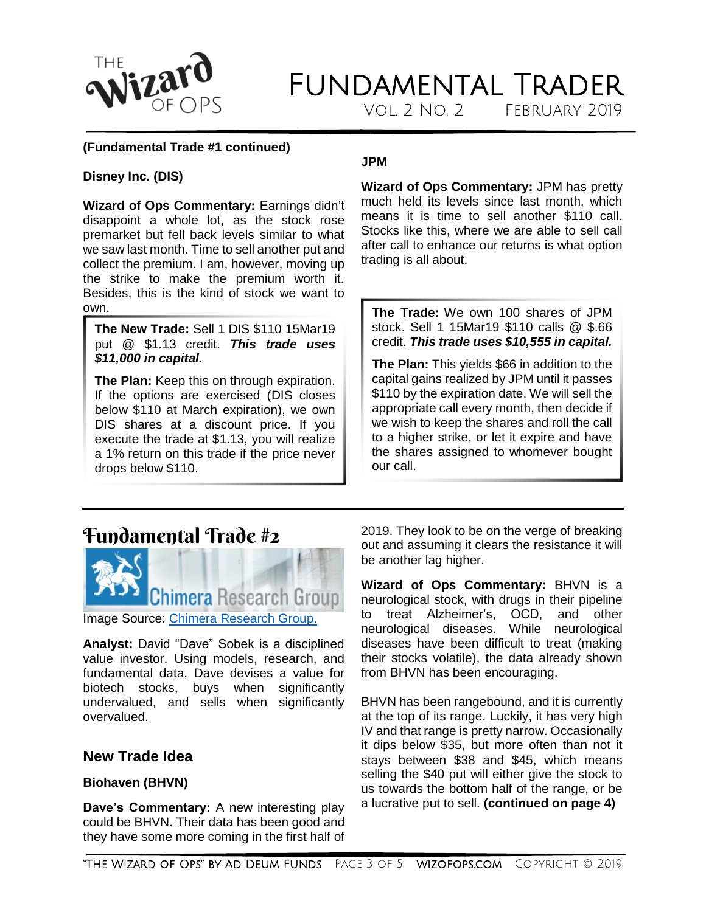

Vol. 2 No. 2 February 2019

#### **(Fundamental Trade #1 continued)**

#### **Disney Inc. (DIS)**

**Wizard of Ops Commentary:** Earnings didn't disappoint a whole lot, as the stock rose premarket but fell back levels similar to what we saw last month. Time to sell another put and collect the premium. I am, however, moving up the strike to make the premium worth it. Besides, this is the kind of stock we want to own.

**The New Trade:** Sell 1 DIS \$110 15Mar19 put @ \$1.13 credit. *This trade uses \$11,000 in capital.*

**The Plan:** Keep this on through expiration. If the options are exercised (DIS closes below \$110 at March expiration), we own DIS shares at a discount price. If you execute the trade at \$1.13, you will realize a 1% return on this trade if the price never drops below \$110.

#### **JPM**

**Wizard of Ops Commentary:** JPM has pretty much held its levels since last month, which means it is time to sell another \$110 call. Stocks like this, where we are able to sell call after call to enhance our returns is what option trading is all about.

**The Trade:** We own 100 shares of JPM stock. Sell 1 15Mar19 \$110 calls @ \$.66 credit. *This trade uses \$10,555 in capital.*

**The Plan:** This yields \$66 in addition to the capital gains realized by JPM until it passes \$110 by the expiration date. We will sell the appropriate call every month, then decide if we wish to keep the shares and roll the call to a higher strike, or let it expire and have the shares assigned to whomever bought our call.

### <span id="page-2-0"></span>Fundamental Trade #2



Image Source: [Chimera Research Group.](https://www.chimeraresearchgroup.com/)

**Analyst:** David "Dave" Sobek is a disciplined value investor. Using models, research, and fundamental data, Dave devises a value for biotech stocks, buys when significantly undervalued, and sells when significantly overvalued.

#### <span id="page-2-1"></span>**New Trade Idea**

#### **Biohaven (BHVN)**

**Dave's Commentary:** A new interesting play could be BHVN. Their data has been good and they have some more coming in the first half of 2019. They look to be on the verge of breaking out and assuming it clears the resistance it will be another lag higher.

**Wizard of Ops Commentary:** BHVN is a neurological stock, with drugs in their pipeline to treat Alzheimer's, OCD, and other neurological diseases. While neurological diseases have been difficult to treat (making their stocks volatile), the data already shown from BHVN has been encouraging.

BHVN has been rangebound, and it is currently at the top of its range. Luckily, it has very high IV and that range is pretty narrow. Occasionally it dips below \$35, but more often than not it stays between \$38 and \$45, which means selling the \$40 put will either give the stock to us towards the bottom half of the range, or be a lucrative put to sell. **(continued on page 4)**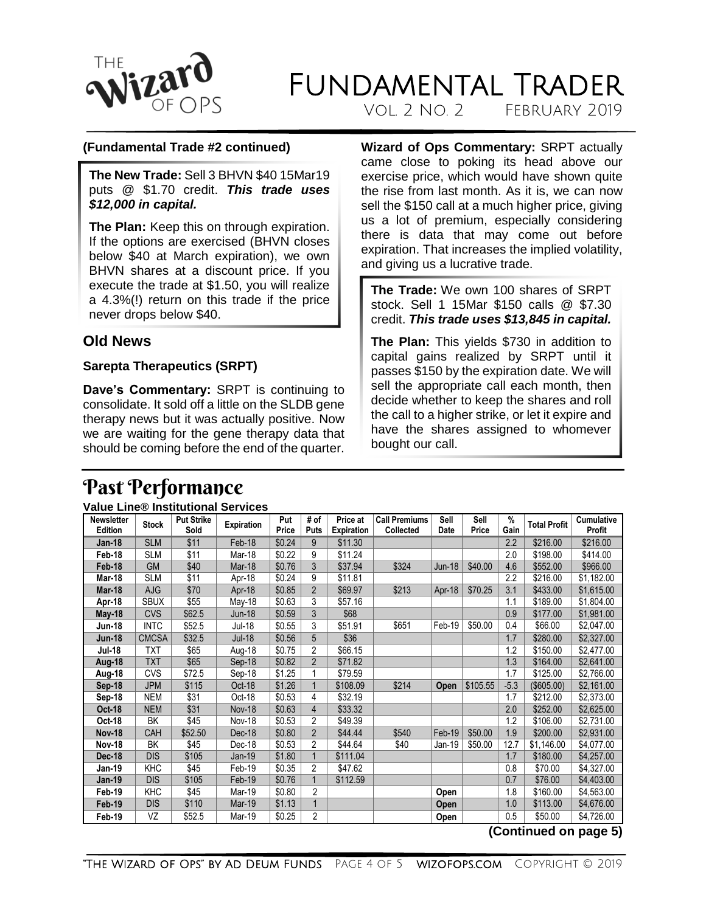

Vol. 2 No. 2 February 2019

#### **(Fundamental Trade #2 continued)**

**The New Trade:** Sell 3 BHVN \$40 15Mar19 puts @ \$1.70 credit. *This trade uses \$12,000 in capital.*

**The Plan:** Keep this on through expiration. If the options are exercised (BHVN closes below \$40 at March expiration), we own BHVN shares at a discount price. If you execute the trade at \$1.50, you will realize a 4.3%(!) return on this trade if the price never drops below \$40.

#### <span id="page-3-0"></span>**Old News**

#### **Sarepta Therapeutics (SRPT)**

**Dave's Commentary:** SRPT is continuing to consolidate. It sold off a little on the SLDB gene therapy news but it was actually positive. Now we are waiting for the gene therapy data that should be coming before the end of the quarter. **Wizard of Ops Commentary:** SRPT actually came close to poking its head above our exercise price, which would have shown quite the rise from last month. As it is, we can now sell the \$150 call at a much higher price, giving us a lot of premium, especially considering there is data that may come out before expiration. That increases the implied volatility, and giving us a lucrative trade.

**The Trade:** We own 100 shares of SRPT stock. Sell 1 15Mar \$150 calls @ \$7.30 credit. *This trade uses \$13,845 in capital.*

**The Plan:** This yields \$730 in addition to capital gains realized by SRPT until it passes \$150 by the expiration date. We will sell the appropriate call each month, then decide whether to keep the shares and roll the call to a higher strike, or let it expire and have the shares assigned to whomever bought our call.

### <span id="page-3-1"></span>Past Performance

#### <span id="page-3-2"></span>**Value Line® Institutional Services**

| \$11<br>\$0.24<br><b>SLM</b><br>Feb-18<br>\$11.30<br>2.2<br>\$216.00<br>\$216.00<br>9<br>Jan-18<br>\$11<br>9<br>2.0<br>\$0.22<br>\$11.24<br>\$198.00<br>\$414.00<br><b>SLM</b><br>Mar-18<br>Feb-18<br>\$40<br>3<br>\$0.76<br>\$37.94<br>\$324<br>\$40.00<br>\$552.00<br>\$966.00<br>Feb-18<br><b>GM</b><br>Mar-18<br>4.6<br>Jun-18<br>\$11<br>SLM<br>\$0.24<br>9<br>\$11.81<br>2.2<br>\$216.00<br>\$1,182.00<br>Mar-18<br>Apr-18<br>$\overline{2}$<br>\$70<br>\$0.85<br>\$69.97<br>\$213<br>\$70.25<br>3.1<br>\$433.00<br>\$1,615.00<br>Mar-18<br>AJG<br>Apr-18<br>Apr-18<br>\$0.63<br>3<br><b>SBUX</b><br>\$55<br>\$57.16<br>1.1<br>\$189.00<br>\$1,804.00<br>Apr-18<br>May-18<br>3<br>\$68<br><b>CVS</b><br>\$62.5<br>\$0.59<br>0.9<br>\$177.00<br>\$1,981.00<br><b>Jun-18</b><br>May-18<br>\$651<br>\$52.5<br>\$0.55<br>3<br>Feb-19<br>\$50.00<br>0.4<br>\$66.00<br>\$2,047.00<br><b>INTC</b><br>\$51.91<br><b>Jun-18</b><br>Jul-18<br><b>CMCSA</b><br>\$32.5<br>\$0.56<br>5<br>\$36<br>\$280.00<br>\$2,327.00<br><b>Jun-18</b><br>$Jul-18$<br>1.7<br>\$65<br>2<br>\$0.75<br>\$66.15<br>1.2<br>\$150.00<br>Jul-18<br>TXT<br>\$2,477.00<br>Aug-18<br>\$65<br><b>TXT</b><br>\$0.82<br>$\overline{2}$<br>\$71.82<br>1.3<br>\$164.00<br>Sep-18<br>\$2,641.00<br>Aug-18<br><b>CVS</b><br>\$72.5<br>\$1.25<br>1.7<br>\$125.00<br>\$79.59<br>\$2,766.00<br>Aug-18<br>Sep-18<br>\$1.26<br>\$214<br>$-5.3$<br><b>JPM</b><br>\$115<br>\$108.09<br>\$105.55<br>(\$605.00)<br>\$2,161.00<br>Sep-18<br>Oct-18<br>Open<br>\$31<br>\$32.19<br>\$212.00<br>\$0.53<br>1.7<br>\$2,373.00<br>Sep-18<br><b>NEM</b><br>Oct-18<br>4<br>\$31<br>\$0.63<br>4<br>\$33.32<br>2.0<br>\$252.00<br><b>Oct-18</b><br><b>NEM</b><br><b>Nov-18</b><br>\$2,625.00<br>\$45<br>2<br>\$0.53<br>\$49.39<br>1.2<br>\$106.00<br>ВK<br>\$2,731.00<br>Oct-18<br><b>Nov-18</b><br>$\overline{2}$<br>\$0.80<br>\$540<br>\$50.00<br>1.9<br>\$200.00<br>CAH<br>\$52.50<br>Dec-18<br>\$44.44<br>Feb-19<br>\$2,931.00<br><b>Nov-18</b><br>2<br>12.7<br>\$45<br>\$0.53<br>\$44.64<br>\$40<br>\$50.00<br>\$4,077.00<br><b>Nov-18</b><br>BK<br>Dec-18<br>Jan-19<br>\$1,146.00<br><b>DIS</b><br>\$105<br>\$1.80<br>\$111.04<br>1.7<br>\$180.00<br>\$4,257.00<br><b>Dec-18</b><br>Jan-19<br>KHC<br>\$45<br>\$0.35<br>2<br>Jan-19<br>\$47.62<br>0.8<br>\$70.00<br>\$4,327.00<br>Feb-19<br>\$105<br>\$0.76<br>\$76.00<br>\$4,403.00<br><b>DIS</b><br>Feb-19<br>\$112.59<br>0.7<br><b>Jan-19</b><br>\$45<br>2<br>KHC<br>\$0.80<br>1.8<br>\$160.00<br>Mar-19<br>\$4,563.00<br>Feb-19<br>Open<br>$\mathbf{1}$<br><b>DIS</b><br>\$110<br>\$1.13<br>1.0<br>\$113.00<br>\$4,676.00<br>Mar-19<br>Feb-19<br><b>Open</b><br>2<br>\$0.25<br>\$50.00<br>VZ<br>\$52.5<br>0.5<br>\$4,726.00<br>Feb-19<br>Mar-19<br>Open | <b>Newsletter</b> | <b>Stock</b> | <b>Put Strike</b> | <b>Expiration</b> | Put   | # of | Price at          | <b>Call Premiums</b> | Sell | Sell  | %    | <b>Total Profit</b> | <b>Cumulative</b> |
|---------------------------------------------------------------------------------------------------------------------------------------------------------------------------------------------------------------------------------------------------------------------------------------------------------------------------------------------------------------------------------------------------------------------------------------------------------------------------------------------------------------------------------------------------------------------------------------------------------------------------------------------------------------------------------------------------------------------------------------------------------------------------------------------------------------------------------------------------------------------------------------------------------------------------------------------------------------------------------------------------------------------------------------------------------------------------------------------------------------------------------------------------------------------------------------------------------------------------------------------------------------------------------------------------------------------------------------------------------------------------------------------------------------------------------------------------------------------------------------------------------------------------------------------------------------------------------------------------------------------------------------------------------------------------------------------------------------------------------------------------------------------------------------------------------------------------------------------------------------------------------------------------------------------------------------------------------------------------------------------------------------------------------------------------------------------------------------------------------------------------------------------------------------------------------------------------------------------------------------------------------------------------------------------------------------------------------------------------------------------------------------------------------------------------------------------------------------------------------------------------------------------------------------------------------------------------------------------------------------------------------------------------------------------------------------------------------------------------------------------------------|-------------------|--------------|-------------------|-------------------|-------|------|-------------------|----------------------|------|-------|------|---------------------|-------------------|
|                                                                                                                                                                                                                                                                                                                                                                                                                                                                                                                                                                                                                                                                                                                                                                                                                                                                                                                                                                                                                                                                                                                                                                                                                                                                                                                                                                                                                                                                                                                                                                                                                                                                                                                                                                                                                                                                                                                                                                                                                                                                                                                                                                                                                                                                                                                                                                                                                                                                                                                                                                                                                                                                                                                                                         | <b>Edition</b>    |              | Sold              |                   | Price | Puts | <b>Expiration</b> | Collected            | Date | Price | Gain |                     | <b>Profit</b>     |
|                                                                                                                                                                                                                                                                                                                                                                                                                                                                                                                                                                                                                                                                                                                                                                                                                                                                                                                                                                                                                                                                                                                                                                                                                                                                                                                                                                                                                                                                                                                                                                                                                                                                                                                                                                                                                                                                                                                                                                                                                                                                                                                                                                                                                                                                                                                                                                                                                                                                                                                                                                                                                                                                                                                                                         |                   |              |                   |                   |       |      |                   |                      |      |       |      |                     |                   |
|                                                                                                                                                                                                                                                                                                                                                                                                                                                                                                                                                                                                                                                                                                                                                                                                                                                                                                                                                                                                                                                                                                                                                                                                                                                                                                                                                                                                                                                                                                                                                                                                                                                                                                                                                                                                                                                                                                                                                                                                                                                                                                                                                                                                                                                                                                                                                                                                                                                                                                                                                                                                                                                                                                                                                         |                   |              |                   |                   |       |      |                   |                      |      |       |      |                     |                   |
|                                                                                                                                                                                                                                                                                                                                                                                                                                                                                                                                                                                                                                                                                                                                                                                                                                                                                                                                                                                                                                                                                                                                                                                                                                                                                                                                                                                                                                                                                                                                                                                                                                                                                                                                                                                                                                                                                                                                                                                                                                                                                                                                                                                                                                                                                                                                                                                                                                                                                                                                                                                                                                                                                                                                                         |                   |              |                   |                   |       |      |                   |                      |      |       |      |                     |                   |
|                                                                                                                                                                                                                                                                                                                                                                                                                                                                                                                                                                                                                                                                                                                                                                                                                                                                                                                                                                                                                                                                                                                                                                                                                                                                                                                                                                                                                                                                                                                                                                                                                                                                                                                                                                                                                                                                                                                                                                                                                                                                                                                                                                                                                                                                                                                                                                                                                                                                                                                                                                                                                                                                                                                                                         |                   |              |                   |                   |       |      |                   |                      |      |       |      |                     |                   |
|                                                                                                                                                                                                                                                                                                                                                                                                                                                                                                                                                                                                                                                                                                                                                                                                                                                                                                                                                                                                                                                                                                                                                                                                                                                                                                                                                                                                                                                                                                                                                                                                                                                                                                                                                                                                                                                                                                                                                                                                                                                                                                                                                                                                                                                                                                                                                                                                                                                                                                                                                                                                                                                                                                                                                         |                   |              |                   |                   |       |      |                   |                      |      |       |      |                     |                   |
|                                                                                                                                                                                                                                                                                                                                                                                                                                                                                                                                                                                                                                                                                                                                                                                                                                                                                                                                                                                                                                                                                                                                                                                                                                                                                                                                                                                                                                                                                                                                                                                                                                                                                                                                                                                                                                                                                                                                                                                                                                                                                                                                                                                                                                                                                                                                                                                                                                                                                                                                                                                                                                                                                                                                                         |                   |              |                   |                   |       |      |                   |                      |      |       |      |                     |                   |
|                                                                                                                                                                                                                                                                                                                                                                                                                                                                                                                                                                                                                                                                                                                                                                                                                                                                                                                                                                                                                                                                                                                                                                                                                                                                                                                                                                                                                                                                                                                                                                                                                                                                                                                                                                                                                                                                                                                                                                                                                                                                                                                                                                                                                                                                                                                                                                                                                                                                                                                                                                                                                                                                                                                                                         |                   |              |                   |                   |       |      |                   |                      |      |       |      |                     |                   |
|                                                                                                                                                                                                                                                                                                                                                                                                                                                                                                                                                                                                                                                                                                                                                                                                                                                                                                                                                                                                                                                                                                                                                                                                                                                                                                                                                                                                                                                                                                                                                                                                                                                                                                                                                                                                                                                                                                                                                                                                                                                                                                                                                                                                                                                                                                                                                                                                                                                                                                                                                                                                                                                                                                                                                         |                   |              |                   |                   |       |      |                   |                      |      |       |      |                     |                   |
|                                                                                                                                                                                                                                                                                                                                                                                                                                                                                                                                                                                                                                                                                                                                                                                                                                                                                                                                                                                                                                                                                                                                                                                                                                                                                                                                                                                                                                                                                                                                                                                                                                                                                                                                                                                                                                                                                                                                                                                                                                                                                                                                                                                                                                                                                                                                                                                                                                                                                                                                                                                                                                                                                                                                                         |                   |              |                   |                   |       |      |                   |                      |      |       |      |                     |                   |
|                                                                                                                                                                                                                                                                                                                                                                                                                                                                                                                                                                                                                                                                                                                                                                                                                                                                                                                                                                                                                                                                                                                                                                                                                                                                                                                                                                                                                                                                                                                                                                                                                                                                                                                                                                                                                                                                                                                                                                                                                                                                                                                                                                                                                                                                                                                                                                                                                                                                                                                                                                                                                                                                                                                                                         |                   |              |                   |                   |       |      |                   |                      |      |       |      |                     |                   |
|                                                                                                                                                                                                                                                                                                                                                                                                                                                                                                                                                                                                                                                                                                                                                                                                                                                                                                                                                                                                                                                                                                                                                                                                                                                                                                                                                                                                                                                                                                                                                                                                                                                                                                                                                                                                                                                                                                                                                                                                                                                                                                                                                                                                                                                                                                                                                                                                                                                                                                                                                                                                                                                                                                                                                         |                   |              |                   |                   |       |      |                   |                      |      |       |      |                     |                   |
|                                                                                                                                                                                                                                                                                                                                                                                                                                                                                                                                                                                                                                                                                                                                                                                                                                                                                                                                                                                                                                                                                                                                                                                                                                                                                                                                                                                                                                                                                                                                                                                                                                                                                                                                                                                                                                                                                                                                                                                                                                                                                                                                                                                                                                                                                                                                                                                                                                                                                                                                                                                                                                                                                                                                                         |                   |              |                   |                   |       |      |                   |                      |      |       |      |                     |                   |
|                                                                                                                                                                                                                                                                                                                                                                                                                                                                                                                                                                                                                                                                                                                                                                                                                                                                                                                                                                                                                                                                                                                                                                                                                                                                                                                                                                                                                                                                                                                                                                                                                                                                                                                                                                                                                                                                                                                                                                                                                                                                                                                                                                                                                                                                                                                                                                                                                                                                                                                                                                                                                                                                                                                                                         |                   |              |                   |                   |       |      |                   |                      |      |       |      |                     |                   |
|                                                                                                                                                                                                                                                                                                                                                                                                                                                                                                                                                                                                                                                                                                                                                                                                                                                                                                                                                                                                                                                                                                                                                                                                                                                                                                                                                                                                                                                                                                                                                                                                                                                                                                                                                                                                                                                                                                                                                                                                                                                                                                                                                                                                                                                                                                                                                                                                                                                                                                                                                                                                                                                                                                                                                         |                   |              |                   |                   |       |      |                   |                      |      |       |      |                     |                   |
|                                                                                                                                                                                                                                                                                                                                                                                                                                                                                                                                                                                                                                                                                                                                                                                                                                                                                                                                                                                                                                                                                                                                                                                                                                                                                                                                                                                                                                                                                                                                                                                                                                                                                                                                                                                                                                                                                                                                                                                                                                                                                                                                                                                                                                                                                                                                                                                                                                                                                                                                                                                                                                                                                                                                                         |                   |              |                   |                   |       |      |                   |                      |      |       |      |                     |                   |
|                                                                                                                                                                                                                                                                                                                                                                                                                                                                                                                                                                                                                                                                                                                                                                                                                                                                                                                                                                                                                                                                                                                                                                                                                                                                                                                                                                                                                                                                                                                                                                                                                                                                                                                                                                                                                                                                                                                                                                                                                                                                                                                                                                                                                                                                                                                                                                                                                                                                                                                                                                                                                                                                                                                                                         |                   |              |                   |                   |       |      |                   |                      |      |       |      |                     |                   |
|                                                                                                                                                                                                                                                                                                                                                                                                                                                                                                                                                                                                                                                                                                                                                                                                                                                                                                                                                                                                                                                                                                                                                                                                                                                                                                                                                                                                                                                                                                                                                                                                                                                                                                                                                                                                                                                                                                                                                                                                                                                                                                                                                                                                                                                                                                                                                                                                                                                                                                                                                                                                                                                                                                                                                         |                   |              |                   |                   |       |      |                   |                      |      |       |      |                     |                   |
|                                                                                                                                                                                                                                                                                                                                                                                                                                                                                                                                                                                                                                                                                                                                                                                                                                                                                                                                                                                                                                                                                                                                                                                                                                                                                                                                                                                                                                                                                                                                                                                                                                                                                                                                                                                                                                                                                                                                                                                                                                                                                                                                                                                                                                                                                                                                                                                                                                                                                                                                                                                                                                                                                                                                                         |                   |              |                   |                   |       |      |                   |                      |      |       |      |                     |                   |
|                                                                                                                                                                                                                                                                                                                                                                                                                                                                                                                                                                                                                                                                                                                                                                                                                                                                                                                                                                                                                                                                                                                                                                                                                                                                                                                                                                                                                                                                                                                                                                                                                                                                                                                                                                                                                                                                                                                                                                                                                                                                                                                                                                                                                                                                                                                                                                                                                                                                                                                                                                                                                                                                                                                                                         |                   |              |                   |                   |       |      |                   |                      |      |       |      |                     |                   |
|                                                                                                                                                                                                                                                                                                                                                                                                                                                                                                                                                                                                                                                                                                                                                                                                                                                                                                                                                                                                                                                                                                                                                                                                                                                                                                                                                                                                                                                                                                                                                                                                                                                                                                                                                                                                                                                                                                                                                                                                                                                                                                                                                                                                                                                                                                                                                                                                                                                                                                                                                                                                                                                                                                                                                         |                   |              |                   |                   |       |      |                   |                      |      |       |      |                     |                   |
|                                                                                                                                                                                                                                                                                                                                                                                                                                                                                                                                                                                                                                                                                                                                                                                                                                                                                                                                                                                                                                                                                                                                                                                                                                                                                                                                                                                                                                                                                                                                                                                                                                                                                                                                                                                                                                                                                                                                                                                                                                                                                                                                                                                                                                                                                                                                                                                                                                                                                                                                                                                                                                                                                                                                                         |                   |              |                   |                   |       |      |                   |                      |      |       |      |                     |                   |
|                                                                                                                                                                                                                                                                                                                                                                                                                                                                                                                                                                                                                                                                                                                                                                                                                                                                                                                                                                                                                                                                                                                                                                                                                                                                                                                                                                                                                                                                                                                                                                                                                                                                                                                                                                                                                                                                                                                                                                                                                                                                                                                                                                                                                                                                                                                                                                                                                                                                                                                                                                                                                                                                                                                                                         |                   |              |                   |                   |       |      |                   |                      |      |       |      |                     |                   |
|                                                                                                                                                                                                                                                                                                                                                                                                                                                                                                                                                                                                                                                                                                                                                                                                                                                                                                                                                                                                                                                                                                                                                                                                                                                                                                                                                                                                                                                                                                                                                                                                                                                                                                                                                                                                                                                                                                                                                                                                                                                                                                                                                                                                                                                                                                                                                                                                                                                                                                                                                                                                                                                                                                                                                         |                   |              |                   |                   |       |      |                   |                      |      |       |      |                     |                   |
|                                                                                                                                                                                                                                                                                                                                                                                                                                                                                                                                                                                                                                                                                                                                                                                                                                                                                                                                                                                                                                                                                                                                                                                                                                                                                                                                                                                                                                                                                                                                                                                                                                                                                                                                                                                                                                                                                                                                                                                                                                                                                                                                                                                                                                                                                                                                                                                                                                                                                                                                                                                                                                                                                                                                                         |                   |              |                   |                   |       |      |                   |                      |      |       |      |                     |                   |

**(Continued on page 5)**